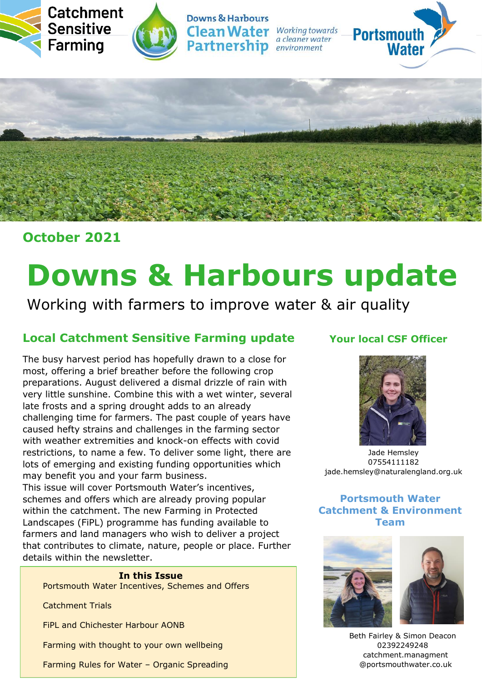





**Downs & Harbours Clean Water** Working towards **Partnership** *environment* 

a cleaner water





# **October 2021**

# **Downs & Harbours update**

Working with farmers to improve water & air quality

# **Local Catchment Sensitive Farming update**

The busy harvest period has hopefully drawn to a close for most, offering a brief breather before the following crop preparations. August delivered a dismal drizzle of rain with very little sunshine. Combine this with a wet winter, several late frosts and a spring drought adds to an already challenging time for farmers. The past couple of years have caused hefty strains and challenges in the farming sector with weather extremities and knock-on effects with covid restrictions, to name a few. To deliver some light, there are lots of emerging and existing funding opportunities which may benefit you and your farm business.

This issue will cover Portsmouth Water's incentives, schemes and offers which are already proving popular within the catchment. The new Farming in Protected Landscapes (FiPL) programme has funding available to farmers and land managers who wish to deliver a project that contributes to climate, nature, people or place. Further details within the newsletter.

#### **In this Issue**

Portsmouth Water Incentives, Schemes and Offers

Catchment Trials

FiPL and Chichester Harbour AONB

Farming with thought to your own wellbeing

Farming Rules for Water – Organic Spreading

## **Your local CSF Officer**



Jade Hemsley 07554111182 jade.hemsley@naturalengland.org.uk

## **Portsmouth Water Catchment & Environment Team**



Beth Fairley & Simon Deacon 02392249248 catchment.managment @portsmouthwater.co.uk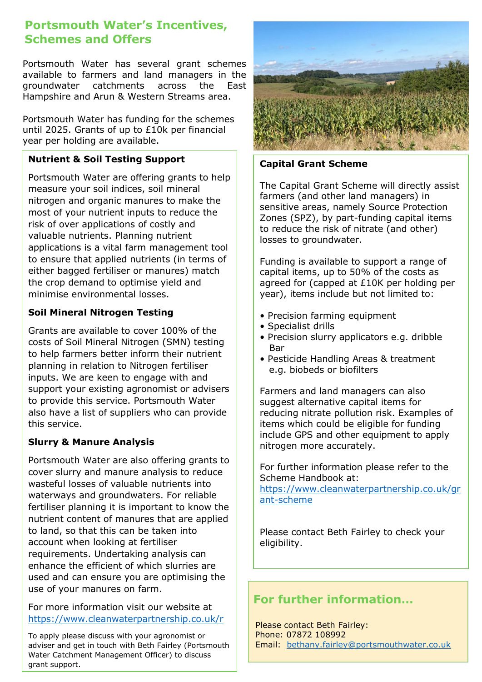## **Portsmouth Water's Incentives, Schemes and Offers**

Portsmouth Water has several grant schemes available to farmers and land managers in the groundwater catchments across the East Hampshire and Arun & Western Streams area.

Portsmouth Water has funding for the schemes until 2025. Grants of up to £10k per financial year per holding are available.

## **Nutrient & Soil Testing Support**

Portsmouth Water are offering grants to help measure your soil indices, soil mineral nitrogen and organic manures to make the most of your nutrient inputs to reduce the risk of over applications of costly and valuable nutrients. Planning nutrient applications is a vital farm management tool to ensure that applied nutrients (in terms of either bagged fertiliser or manures) match the crop demand to optimise yield and minimise environmental losses.

## **Soil Mineral Nitrogen Testing**

Grants are available to cover 100% of the costs of Soil Mineral Nitrogen (SMN) testing to help farmers better inform their nutrient planning in relation to Nitrogen fertiliser inputs. We are keen to engage with and support your existing agronomist or advisers to provide this service. Portsmouth Water also have a list of suppliers who can provide this service.

#### **Slurry & Manure Analysis**

Portsmouth Water are also offering grants to cover slurry and manure analysis to reduce wasteful losses of valuable nutrients into waterways and groundwaters. For reliable fertiliser planning it is important to know the nutrient content of manures that are applied to land, so that this can be taken into account when looking at fertiliser requirements. Undertaking analysis can enhance the efficient of which slurries are used and can ensure you are optimising the use of your manures on farm.

For more information visit our website at <https://www.cleanwaterpartnership.co.uk/r>

To apply please discuss with your agronomist or adviser and get in touch with Beth Fairley (Portsmouth Water Catchment Management Officer) to discuss grant support.



#### **Capital Grant Scheme**

The Capital Grant Scheme will directly assist farmers (and other land managers) in sensitive areas, namely Source Protection Zones (SPZ), by part-funding capital items to reduce the risk of nitrate (and other) losses to groundwater.

Funding is available to support a range of capital items, up to 50% of the costs as agreed for (capped at £10K per holding per year), items include but not limited to:

- Precision farming equipment
- Specialist drills
- Precision slurry applicators e.g. dribble **Bar**
- Pesticide Handling Areas & treatment e.g. biobeds or biofilters

Farmers and land managers can also suggest alternative capital items for reducing nitrate pollution risk. Examples of items which could be eligible for funding include GPS and other equipment to apply nitrogen more accurately.

For further information please refer to the Scheme Handbook at:

[https://www.cleanwaterpartnership.co.uk/gr](https://www.cleanwaterpartnership.co.uk/grant-scheme) [ant-scheme](https://www.cleanwaterpartnership.co.uk/grant-scheme)

Please contact Beth Fairley to check your eligibility.

# **For further information…**

Please contact Beth Fairley: Phone: 07872 108992 Email: [bethany.fairley@portsmouthwater.co.uk](mailto:bethany.fairley@portsmouthwater.co.uk)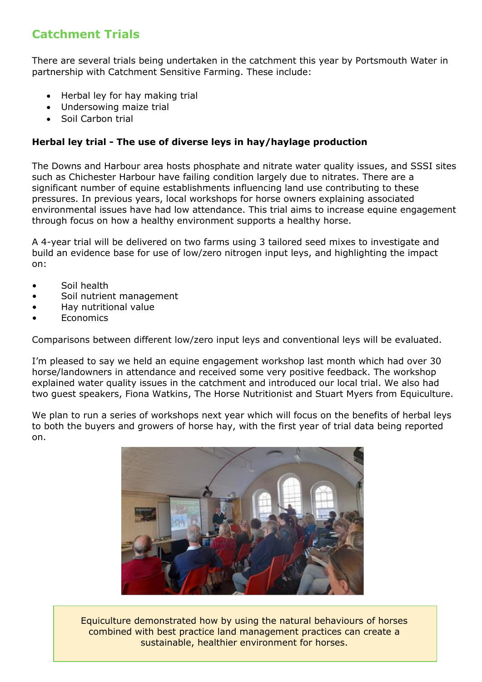## **Catchment Trials**

There are several trials being undertaken in the catchment this year by Portsmouth Water in partnership with Catchment Sensitive Farming. These include:

- Herbal ley for hay making trial
- Undersowing maize trial
- Soil Carbon trial

## **Herbal ley trial - The use of diverse leys in hay/haylage production**

The Downs and Harbour area hosts phosphate and nitrate water quality issues, and SSSI sites such as Chichester Harbour have failing condition largely due to nitrates. There are a significant number of equine establishments influencing land use contributing to these pressures. In previous years, local workshops for horse owners explaining associated environmental issues have had low attendance. This trial aims to increase equine engagement through focus on how a healthy environment supports a healthy horse.

A 4-year trial will be delivered on two farms using 3 tailored seed mixes to investigate and build an evidence base for use of low/zero nitrogen input leys, and highlighting the impact on:

- Soil health
- Soil nutrient management
- Hay nutritional value
- **Economics**

Comparisons between different low/zero input leys and conventional leys will be evaluated.

I'm pleased to say we held an equine engagement workshop last month which had over 30 horse/landowners in attendance and received some very positive feedback. The workshop explained water quality issues in the catchment and introduced our local trial. We also had two guest speakers, Fiona Watkins, The Horse Nutritionist and Stuart Myers from Equiculture.

We plan to run a series of workshops next year which will focus on the benefits of herbal leys to both the buyers and growers of horse hay, with the first year of trial data being reported on.



Equiculture demonstrated how by using the natural behaviours of horses combined with best practice land management practices can create a sustainable, healthier environment for horses.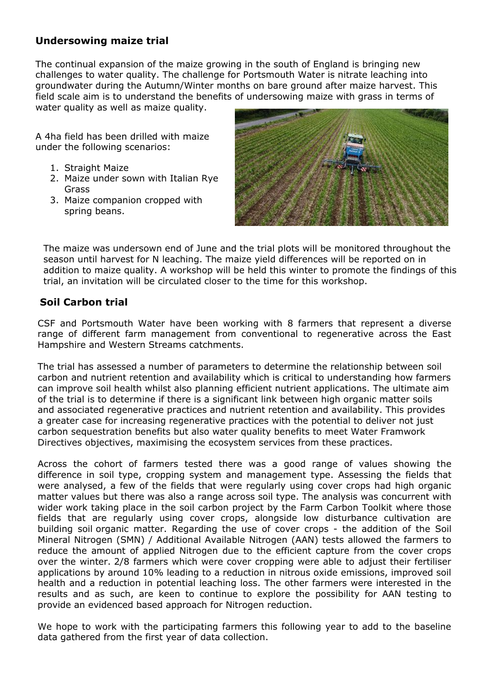## **Undersowing maize trial**

The continual expansion of the maize growing in the south of England is bringing new challenges to water quality. The challenge for Portsmouth Water is nitrate leaching into groundwater during the Autumn/Winter months on bare ground after maize harvest. This field scale aim is to understand the benefits of undersowing maize with grass in terms of water quality as well as maize quality.

A 4ha field has been drilled with maize under the following scenarios:

- 1. Straight Maize
- 2. Maize under sown with Italian Rye Grass
- 3. Maize companion cropped with spring beans.



The maize was undersown end of June and the trial plots will be monitored throughout the season until harvest for N leaching. The maize yield differences will be reported on in addition to maize quality. A workshop will be held this winter to promote the findings of this trial, an invitation will be circulated closer to the time for this workshop.

## **Soil Carbon trial**

CSF and Portsmouth Water have been working with 8 farmers that represent a diverse range of different farm management from conventional to regenerative across the East Hampshire and Western Streams catchments.

The trial has assessed a number of parameters to determine the relationship between soil carbon and nutrient retention and availability which is critical to understanding how farmers can improve soil health whilst also planning efficient nutrient applications. The ultimate aim of the trial is to determine if there is a significant link between high organic matter soils and associated regenerative practices and nutrient retention and availability. This provides a greater case for increasing regenerative practices with the potential to deliver not just carbon sequestration benefits but also water quality benefits to meet Water Framwork Directives objectives, maximising the ecosystem services from these practices.

Across the cohort of farmers tested there was a good range of values showing the difference in soil type, cropping system and management type. Assessing the fields that were analysed, a few of the fields that were regularly using cover crops had high organic matter values but there was also a range across soil type. The analysis was concurrent with wider work taking place in the soil carbon project by the Farm Carbon Toolkit where those fields that are regularly using cover crops, alongside low disturbance cultivation are building soil organic matter. Regarding the use of cover crops - the addition of the Soil Mineral Nitrogen (SMN) / Additional Available Nitrogen (AAN) tests allowed the farmers to reduce the amount of applied Nitrogen due to the efficient capture from the cover crops over the winter. 2/8 farmers which were cover cropping were able to adjust their fertiliser applications by around 10% leading to a reduction in nitrous oxide emissions, improved soil health and a reduction in potential leaching loss. The other farmers were interested in the results and as such, are keen to continue to explore the possibility for AAN testing to provide an evidenced based approach for Nitrogen reduction.

We hope to work with the participating farmers this following year to add to the baseline data gathered from the first year of data collection.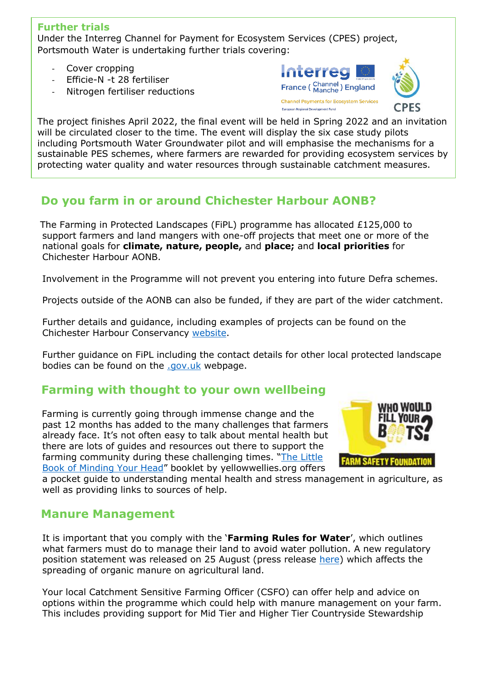## **Further trials**

Under the Interreg Channel for Payment for Ecosystem Services (CPES) project, Portsmouth Water is undertaking further trials covering:

- Cover cropping
- Efficie-N -t 28 fertiliser
- Nitrogen fertiliser reductions





The project finishes April 2022, the final event will be held in Spring 2022 and an invitation will be circulated closer to the time. The event will display the six case study pilots including Portsmouth Water Groundwater pilot and will emphasise the mechanisms for a sustainable PES schemes, where farmers are rewarded for providing ecosystem services by protecting water quality and water resources through sustainable catchment measures.

# **Do you farm in or around Chichester Harbour AONB?**

 The Farming in Protected Landscapes (FiPL) programme has allocated £125,000 to support farmers and land mangers with one-off projects that meet one or more of the national goals for **climate, nature, people,** and **place;** and **local priorities** for Chichester Harbour AONB.

Involvement in the Programme will not prevent you entering into future Defra schemes.

Projects outside of the AONB can also be funded, if they are part of the wider catchment.

Further details and guidance, including examples of projects can be found on the Chichester Harbour Conservancy [website.](https://www.conservancy.co.uk/page/fipl)

Further guidance on FiPL including the contact details for other local protected landscape bodies can be found on the [.gov.uk](https://www.gov.uk/guidance/funding-for-farmers-in-protected-landscapes) webpage.

## **Farming with thought to your own wellbeing**

 Farming is currently going through immense change and the past 12 months has added to the many challenges that farmers already face. It's not often easy to talk about mental health but there are lots of guides and resources out there to support the farming community during these challenging times. "[The Little](https://www.yellowwellies.org/wp-content/uploads/2019/05/The-Little-Book-of-Minding-Your-Head.pdf)  [Book of Minding Your Head](https://www.yellowwellies.org/wp-content/uploads/2019/05/The-Little-Book-of-Minding-Your-Head.pdf)" booklet by yellowwellies.org offers



a pocket guide to understanding mental health and stress management in agriculture, as well as providing links to sources of help.

## **Manure Management**

It is important that you comply with the '**Farming Rules for Water**', which outlines what farmers must do to manage their land to avoid water pollution. A new regulatory position statement was released on 25 August (press release [here\)](https://www.gov.uk/government/publications/spreading-organic-manure-on-agricultural-land-rps-252) which affects the spreading of organic manure on agricultural land.

Your local Catchment Sensitive Farming Officer (CSFO) can offer help and advice on options within the programme which could help with manure management on your farm. This includes providing support for Mid Tier and Higher Tier Countryside Stewardship